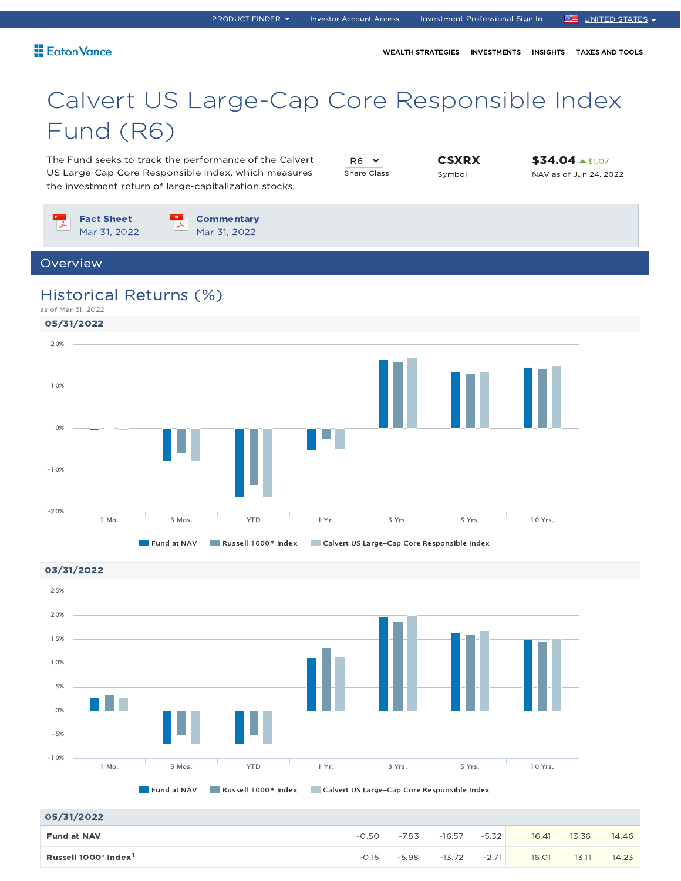WEALTH STRATEGIES INVESTMENTS INSIGHTS TAXES AND TOOLS

## Calvert US Large-Cap Core Responsible Index Fund (R6)

The Fund seeks to track the performance of the Calvert US Large-Cap Core Responsible Index, which measures the investment return of large-capitalization stocks.

| ี                  |  |
|--------------------|--|
| <b>Share Class</b> |  |

**CSXRX** Symbol

**\$34.04 ▲\$1.07** NAV as of Jun 24, 2022

Fact Sheet Mar 31, 2022 **Commentary** Mar 31, 2022 Overview 05/31/2022 03/31/2022 Historical Returns (%) as of Mar 31, 2022 Fund at NAV Russell 1000<sup>®</sup> Index Calvert US Large-Cap Core Responsible Index 1 Mo. 3 Mos. YTD 1 Yr. 3 Yrs. 5 Yrs. 10 Yrs. -20% -10% 0% 10% 20% 25%



#### 05/31/2022

| <b>US/31/ZUZZ</b>                            |         |         |          |         |       |       |       |
|----------------------------------------------|---------|---------|----------|---------|-------|-------|-------|
| <b>Fund at NAV</b>                           | $-0.50$ | $-7.83$ | $-16.57$ | $-5.32$ | 16.41 | 13.36 | 14.46 |
| Russell 1000 <sup>®</sup> Index <sup>1</sup> | $-0.15$ | $-5.98$ | $-13.72$ | $-2.71$ | 16.01 | 13.11 | 14.23 |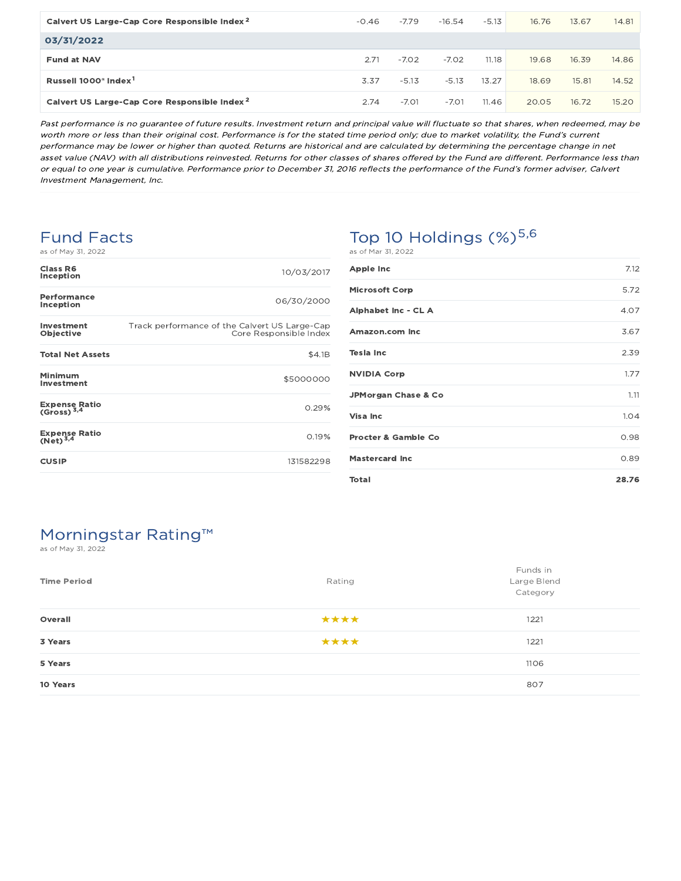| Calvert US Large-Cap Core Responsible Index <sup>2</sup> | $-0.46$ | $-7.79$ | $-16.54$ | $-5.13$ | 16.76 | 13.67 | 14.81 |
|----------------------------------------------------------|---------|---------|----------|---------|-------|-------|-------|
| 03/31/2022                                               |         |         |          |         |       |       |       |
| <b>Fund at NAV</b>                                       | 2.71    | $-7.02$ | $-7.02$  | 11.18   | 19.68 | 16.39 | 14.86 |
| Russell 1000 <sup>®</sup> Index <sup>1</sup>             | 3.37    | $-5.13$ | $-5.13$  | 13.27   | 18.69 | 15.81 | 14.52 |
| Calvert US Large-Cap Core Responsible Index <sup>2</sup> | 2.74    | $-7.01$ | $-7.01$  | 11.46   | 20.05 | 16.72 | 15.20 |

Past performance is no guarantee of future results. Investment return and principal value will fluctuate so that shares, when redeemed, may be worth more or less than their original cost. Performance is for the stated time period only; due to market volatility, the Fund's current performance may be lower or higher than quoted. Returns are historical and are calculated by determining the percentage change in net asset value (NAV) with all distributions reinvested. Returns for other classes of shares offered by the Fund are different. Performance less than or equal to one year is cumulative. Performance prior to December 31, 2016 reflects the performance of the Fund's former adviser, Calvert Investment Management, Inc.

#### Fund Facts

| Class R6<br>Inception                          | 10/03/2017                                                              |
|------------------------------------------------|-------------------------------------------------------------------------|
| Performance<br>Inception                       | 06/30/2000                                                              |
| Investment<br>Objective                        | Track performance of the Calvert US Large-Cap<br>Core Responsible Index |
| <b>Total Net Assets</b>                        | \$4.1B                                                                  |
| Minimum<br>Investment                          | \$5000000                                                               |
| <b>Expense Ratio</b><br>(Gross) <sup>3,4</sup> | 0.29%                                                                   |
| Expense Ratio<br>(Net) <sup>3,4</sup>          | 0.19%                                                                   |
| <b>CUSIP</b>                                   | 131582298                                                               |

# Top 10 Holdings  $(\%)^{5,6}$

| <b>Apple Inc</b>               | 7.12  |
|--------------------------------|-------|
| <b>Microsoft Corp</b>          | 5.72  |
| Alphabet Inc - CL A            | 4.07  |
| Amazon.com Inc                 | 3.67  |
| <b>Tesla Inc</b>               | 2.39  |
| <b>NVIDIA Corp</b>             | 1.77  |
| <b>JPMorgan Chase &amp; Co</b> | 1.11  |
| Visa Inc                       | 1.04  |
| <b>Procter &amp; Gamble Co</b> | 0.98  |
| <b>Mastercard Inc</b>          | 0.89  |
| <b>Total</b>                   | 28.76 |

### Morningstar Rating™

as of May 31, 2022

| <b>Time Period</b> | Rating | Funds in<br>Large Blend<br>Category |
|--------------------|--------|-------------------------------------|
| Overall            | ****   | 1221                                |
| 3 Years            | ****   | 1221                                |
| 5 Years            |        | 1106                                |
| 10 Years           |        | 807                                 |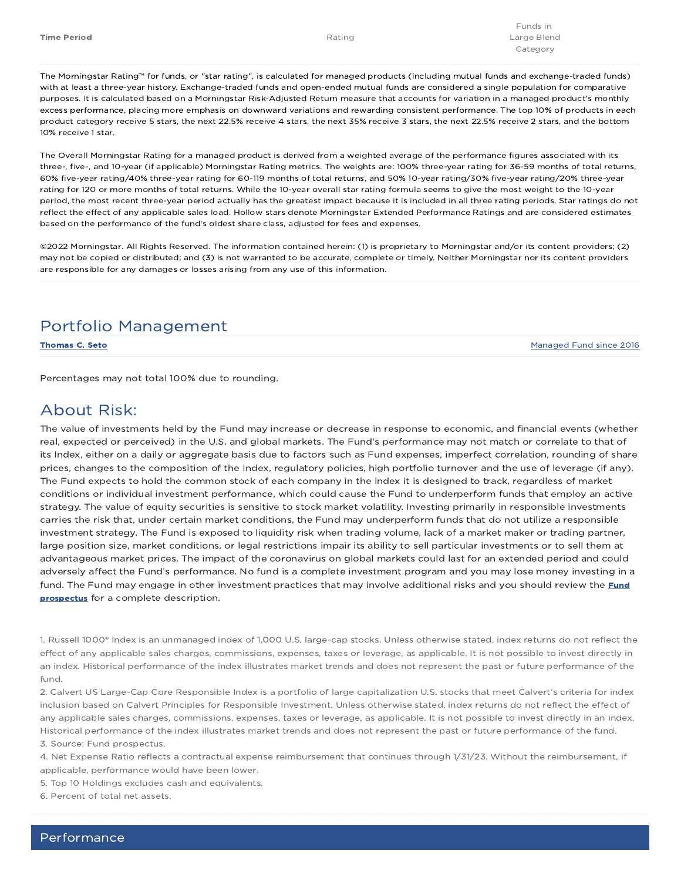The Morningstar Rating™ for funds, or "star rating", is calculated for managed products (including mutual funds and exchange-traded funds) with at least a three-year history. Exchange-traded funds and open-ended mutual funds are considered a single population for comparative purposes. It is calculated based on a Morningstar Risk-Adjusted Return measure that accounts for variation in a managed product's monthly excess performance, placing more emphasis on downward variations and rewarding consistent performance. The top 10% of products in each product category receive 5 stars, the next 22.5% receive 4 stars, the next 35% receive 3 stars, the next 22.5% receive 2 stars, and the bottom 10% receive 1 star.

The Overall Morningstar Rating for a managed product is derived from a weighted average of the performance figures associated with its three-, five-, and 10-year (if applicable) Morningstar Rating metrics. The weights are: 100% three-year rating for 36-59 months of total returns, 60% five-year rating/40% three-year rating for 60-119 months of total returns, and 50% 10-year rating/30% five-year rating/20% three-year rating for 120 or more months of total returns. While the 10-year overall star rating formula seems to give the most weight to the 10-year period, the most recent three-year period actually has the greatest impact because it is included in all three rating periods. Star ratings do not reflect the effect of any applicable sales load. Hollow stars denote Morningstar Extended Performance Ratings and are considered estimates based on the performance of the fund's oldest share class, adjusted for fees and expenses.

©2022 Morningstar. All Rights Reserved. The information contained herein: (1) is proprietary to Morningstar and/or its content providers; (2) may not be copied or distributed; and (3) is not warranted to be accurate, complete or timely. Neither Morningstar nor its content providers are responsible for any damages or losses arising from any use of this information.

#### Portfolio Management

Thomas C. Seto Managed Fund since 2016

Percentages may not total 100% due to rounding.

#### About Risk:

The value of investments held by the Fund may increase or decrease in response to economic, and financial events (whether real, expected or perceived) in the U.S. and global markets. The Fund's performance may not match or correlate to that of its Index, either on a daily or aggregate basis due to factors such as Fund expenses, imperfect correlation, rounding of share prices, changes to the composition of the Index, regulatory policies, high portfolio turnover and the use of leverage (if any). The Fund expects to hold the common stock of each company in the index it is designed to track, regardless of market conditions or individual investment performance, which could cause the Fund to underperform funds that employ an active strategy. The value of equity securities is sensitive to stock market volatility. Investing primarily in responsible investments carries the risk that, under certain market conditions, the Fund may underperform funds that do not utilize a responsible investment strategy. The Fund is exposed to liquidity risk when trading volume, lack of a market maker or trading partner, large position size, market conditions, or legal restrictions impair its ability to sell particular investments or to sell them at advantageous market prices. The impact of the coronavirus on global markets could last for an extended period and could adversely affect the Fund's performance. No fund is a complete investment program and you may lose money investing in a fund. The Fund may engage in other investment practices that may involve additional risks and you should review the Fund prospectus for a complete description.

1. Russell 1000® Index is an unmanaged index of 1,000 U.S. large-cap stocks. Unless otherwise stated, index returns do not reflect the effect of any applicable sales charges, commissions, expenses, taxes or leverage, as applicable. It is not possible to invest directly in an index. Historical performance of the index illustrates market trends and does not represent the past or future performance of the fund.

2. Calvert US Large-Cap Core Responsible Index is a portfolio of large capitalization U.S. stocks that meet Calvert's criteria for index inclusion based on Calvert Principles for Responsible Investment. Unless otherwise stated, index returns do not reflect the effect of any applicable sales charges, commissions, expenses, taxes or leverage, as applicable. It is not possible to invest directly in an index. Historical performance of the index illustrates market trends and does not represent the past or future performance of the fund. 3. Source: Fund prospectus.

4. Net Expense Ratio reflects a contractual expense reimbursement that continues through 1/31/23. Without the reimbursement, if applicable, performance would have been lower.

5. Top 10 Holdings excludes cash and equivalents.

6. Percent of total net assets.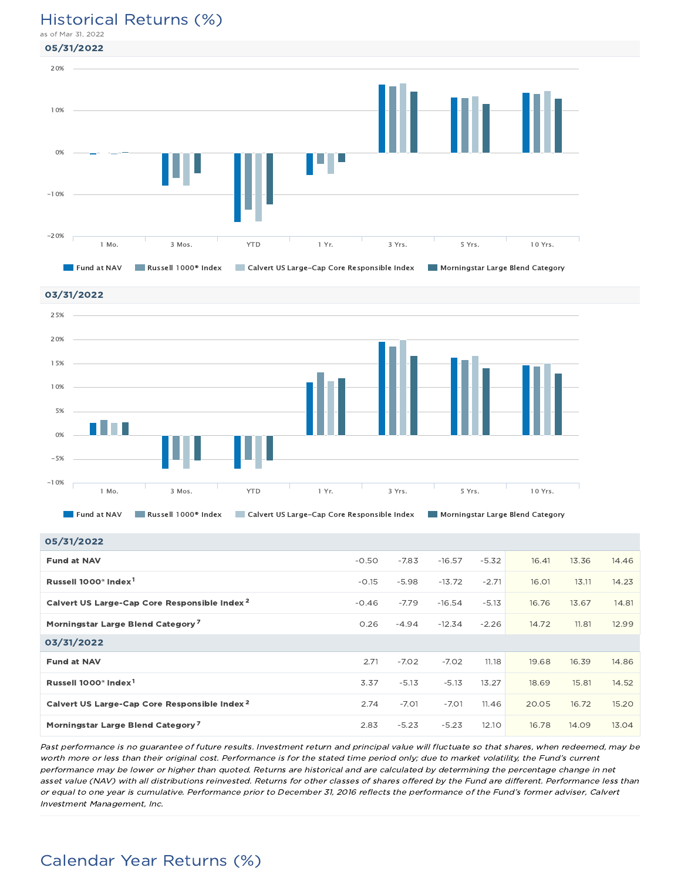#### Historical Returns (%)

as of Mar 31, 2022







| 05/31/2022 |  |
|------------|--|
|------------|--|

| <b>00/01/4044</b>                                        |         |         |          |         |       |       |       |
|----------------------------------------------------------|---------|---------|----------|---------|-------|-------|-------|
| <b>Fund at NAV</b>                                       | $-0.50$ | $-7.83$ | $-16.57$ | $-5.32$ | 16.41 | 13.36 | 14.46 |
| Russell 1000 <sup>®</sup> Index <sup>1</sup>             | $-0.15$ | $-5.98$ | $-13.72$ | $-2.71$ | 16.01 | 13.11 | 14.23 |
| Calvert US Large-Cap Core Responsible Index <sup>2</sup> | $-0.46$ | $-7.79$ | $-16.54$ | $-5.13$ | 16.76 | 13.67 | 14.81 |
| Morningstar Large Blend Category <sup>7</sup>            | 0.26    | $-4.94$ | $-12.34$ | $-2.26$ | 14.72 | 11.81 | 12.99 |
| 03/31/2022                                               |         |         |          |         |       |       |       |
| <b>Fund at NAV</b>                                       | 2.71    | $-7.02$ | $-7.02$  | 11.18   | 19.68 | 16.39 | 14.86 |
| Russell 1000 <sup>®</sup> Index <sup>1</sup>             | 3.37    | $-5.13$ | $-5.13$  | 13.27   | 18.69 | 15.81 | 14.52 |
| Calvert US Large-Cap Core Responsible Index <sup>2</sup> | 2.74    | $-7.01$ | $-7.01$  | 11.46   | 20.05 | 16.72 | 15.20 |
| Morningstar Large Blend Category <sup>7</sup>            | 2.83    | $-5.23$ | $-5.23$  | 12.10   | 16.78 | 14.09 | 13.04 |

Past performance is no guarantee of future results. Investment return and principal value will fluctuate so that shares, when redeemed, may be worth more or less than their original cost. Performance is for the stated time period only; due to market volatility, the Fund's current performance may be lower or higher than quoted. Returns are historical and are calculated by determining the percentage change in net asset value (NAV) with all distributions reinvested. Returns for other classes of shares offered by the Fund are different. Performance less than or equal to one year is cumulative. Performance prior to December 31, 2016 reflects the performance of the Fund's former adviser, Calvert Investment Management, Inc.

### Calendar Year Returns (%)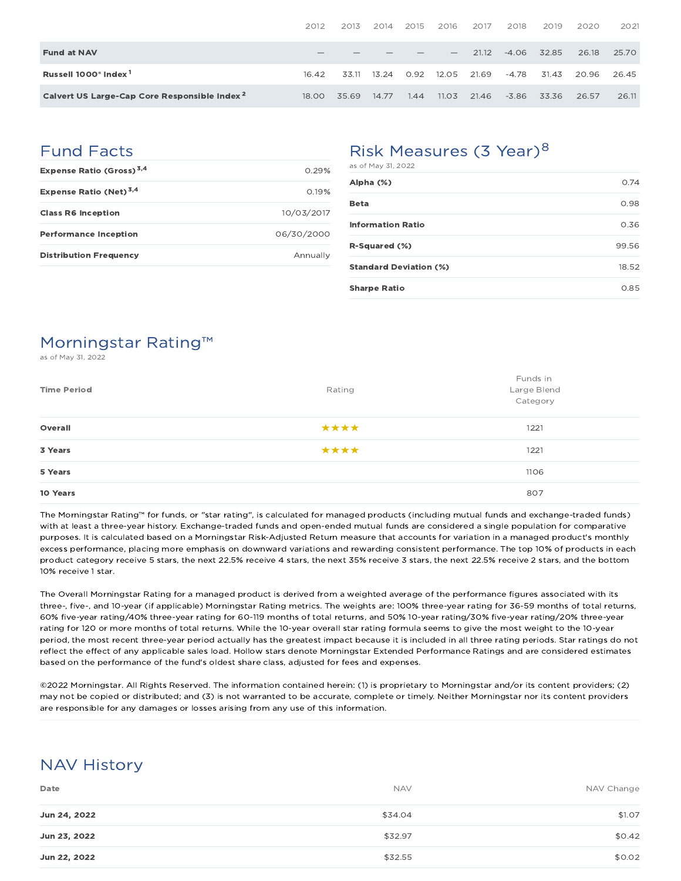|                                                          | 2012  | 2013  | 2014  | 2015 | 2016                     | 2017  | 2018    | 2019  | 2020  | 2021  |
|----------------------------------------------------------|-------|-------|-------|------|--------------------------|-------|---------|-------|-------|-------|
| <b>Fund at NAV</b>                                       |       |       |       |      | $\overline{\phantom{a}}$ | 21.12 | $-4.06$ | 32.85 | 26.18 | 25.70 |
| Russell 1000 <sup>®</sup> Index <sup>1</sup>             | 16.42 | 33.11 | 13.24 | 0.92 | 12.05                    | 21.69 | $-4.78$ | 31.43 | 20.96 | 26.45 |
| Calvert US Large-Cap Core Responsible Index <sup>2</sup> | 18.00 | 35.69 | 14.77 | 1.44 | 11.03                    | 21.46 | $-3.86$ | 33.36 | 26.57 | 26.11 |

### Fund Facts

| Expense Ratio (Gross) <sup>3,4</sup> | O 29%      |
|--------------------------------------|------------|
| Expense Ratio (Net) <sup>3,4</sup>   | 0.19%      |
| <b>Class R6 Inception</b>            | 10/03/2017 |
| <b>Performance Inception</b>         | 06/30/2000 |
| <b>Distribution Frequency</b>        | Annually   |

### Risk Measures (3 Year)<sup>8</sup>

| as of May 31, 2022            |       |
|-------------------------------|-------|
| Alpha (%)                     | 0.74  |
| <b>Beta</b>                   | 0.98  |
| <b>Information Ratio</b>      | 0.36  |
| R-Squared (%)                 | 99.56 |
| <b>Standard Deviation (%)</b> | 18.52 |
| <b>Sharpe Ratio</b>           | 0.85  |

### Morningstar Rating™

as of May 31, 2022

| <b>Time Period</b> | Rating | Funds in<br>Large Blend<br>Category |
|--------------------|--------|-------------------------------------|
| Overall            | ****   | 1221                                |
| 3 Years            | ****   | 1221                                |
| 5 Years            |        | 1106                                |
| 10 Years           |        | 807                                 |

The Morningstar Rating™ for funds, or "star rating", is calculated for managed products (including mutual funds and exchange-traded funds) with at least a three-year history. Exchange-traded funds and open-ended mutual funds are considered a single population for comparative purposes. It is calculated based on a Morningstar Risk-Adjusted Return measure that accounts for variation in a managed product's monthly excess performance, placing more emphasis on downward variations and rewarding consistent performance. The top 10% of products in each product category receive 5 stars, the next 22.5% receive 4 stars, the next 35% receive 3 stars, the next 22.5% receive 2 stars, and the bottom 10% receive 1 star.

The Overall Morningstar Rating for a managed product is derived from a weighted average of the performance figures associated with its three-, five-, and 10-year (if applicable) Morningstar Rating metrics. The weights are: 100% three-year rating for 36-59 months of total returns, 60% five-year rating/40% three-year rating for 60-119 months of total returns, and 50% 10-year rating/30% five-year rating/20% three-year rating for 120 or more months of total returns. While the 10-year overall star rating formula seems to give the most weight to the 10-year period, the most recent three-year period actually has the greatest impact because it is included in all three rating periods. Star ratings do not reflect the effect of any applicable sales load. Hollow stars denote Morningstar Extended Performance Ratings and are considered estimates based on the performance of the fund's oldest share class, adjusted for fees and expenses.

©2022 Morningstar. All Rights Reserved. The information contained herein: (1) is proprietary to Morningstar and/or its content providers; (2) may not be copied or distributed; and (3) is not warranted to be accurate, complete or timely. Neither Morningstar nor its content providers are responsible for any damages or losses arising from any use of this information.

### NAV History

| Date         | <b>NAV</b> | NAV Change |
|--------------|------------|------------|
| Jun 24, 2022 | \$34.04    | \$1.07     |
| Jun 23, 2022 | \$32.97    | \$0.42     |
| Jun 22, 2022 | \$32.55    | \$0.02     |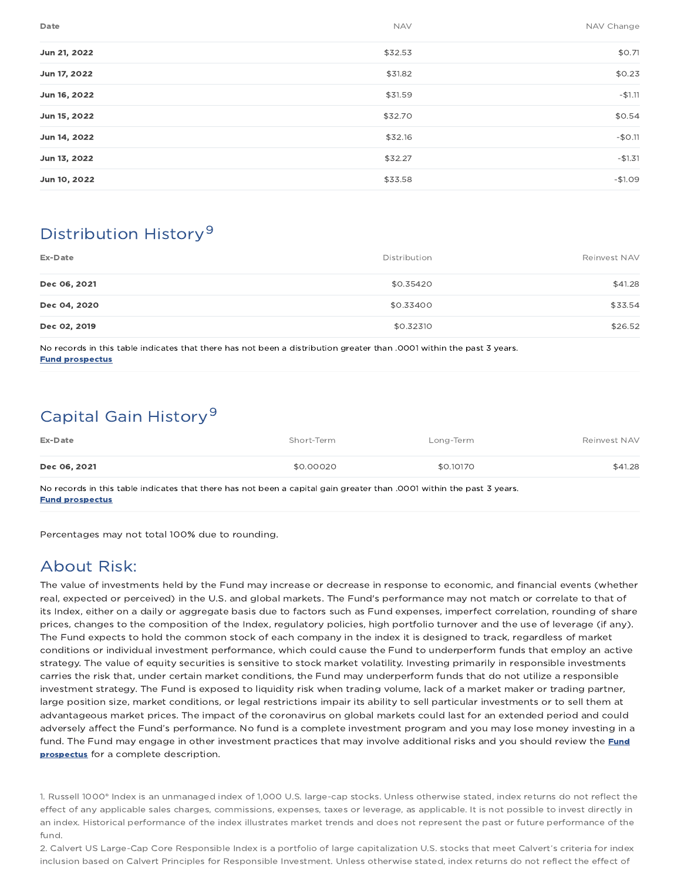| Date         | <b>NAV</b> | NAV Change |
|--------------|------------|------------|
| Jun 21, 2022 | \$32.53    | \$0.71     |
| Jun 17, 2022 | \$31.82    | \$0.23     |
| Jun 16, 2022 | \$31.59    | $-$1.11$   |
| Jun 15, 2022 | \$32.70    | \$0.54     |
| Jun 14, 2022 | \$32.16    | $-$0.11$   |
| Jun 13, 2022 | \$32.27    | $-$1.31$   |
| Jun 10, 2022 | \$33.58    | $-$1.09$   |

### Distribution History 9

| Ex-Date      | Distribution | Reinvest NAV |
|--------------|--------------|--------------|
| Dec 06, 2021 | \$0.35420    | \$41.28      |
| Dec 04, 2020 | \$0.33400    | \$33.54      |
| Dec 02, 2019 | \$0.32310    | \$26.52      |

No records in this table indicates that there has not been a distribution greater than .0001 within the past 3 years. Fund prospectus

### Capital Gain History<sup>9</sup>

| Ex-Date                                                                                                                                                                                                                      | Short-Term | Long-Term | Reinvest NAV |
|------------------------------------------------------------------------------------------------------------------------------------------------------------------------------------------------------------------------------|------------|-----------|--------------|
| Dec 06, 2021                                                                                                                                                                                                                 | \$0,00020  | \$0.10170 | \$41.28      |
| the state of the state of the state of the state of the state of the state of the state of the state of the state of the state of the state of the state of the state of the state of the state of the state of the state of |            |           |              |

No records in this table indicates that there has not been a capital gain greater than .0001 within the past 3 years. Fund prospectus

Percentages may not total 100% due to rounding.

### About Risk:

The value of investments held by the Fund may increase or decrease in response to economic, and financial events (whether real, expected or perceived) in the U.S. and global markets. The Fund's performance may not match or correlate to that of its Index, either on a daily or aggregate basis due to factors such as Fund expenses, imperfect correlation, rounding of share prices, changes to the composition of the Index, regulatory policies, high portfolio turnover and the use of leverage (if any). The Fund expects to hold the common stock of each company in the index it is designed to track, regardless of market conditions or individual investment performance, which could cause the Fund to underperform funds that employ an active strategy. The value of equity securities is sensitive to stock market volatility. Investing primarily in responsible investments carries the risk that, under certain market conditions, the Fund may underperform funds that do not utilize a responsible investment strategy. The Fund is exposed to liquidity risk when trading volume, lack of a market maker or trading partner, large position size, market conditions, or legal restrictions impair its ability to sell particular investments or to sell them at advantageous market prices. The impact of the coronavirus on global markets could last for an extended period and could adversely affect the Fund's performance. No fund is a complete investment program and you may lose money investing in a fund. The Fund may engage in other investment practices that may involve additional risks and you should review the Fund prospectus for a complete description.

1. Russell 1000® Index is an unmanaged index of 1,000 U.S. large-cap stocks. Unless otherwise stated, index returns do not reflect the effect of any applicable sales charges, commissions, expenses, taxes or leverage, as applicable. It is not possible to invest directly in an index. Historical performance of the index illustrates market trends and does not represent the past or future performance of the fund.

2. Calvert US Large-Cap Core Responsible Index is a portfolio of large capitalization U.S. stocks that meet Calvert's criteria for index inclusion based on Calvert Principles for Responsible Investment. Unless otherwise stated, index returns do not reflect the effect of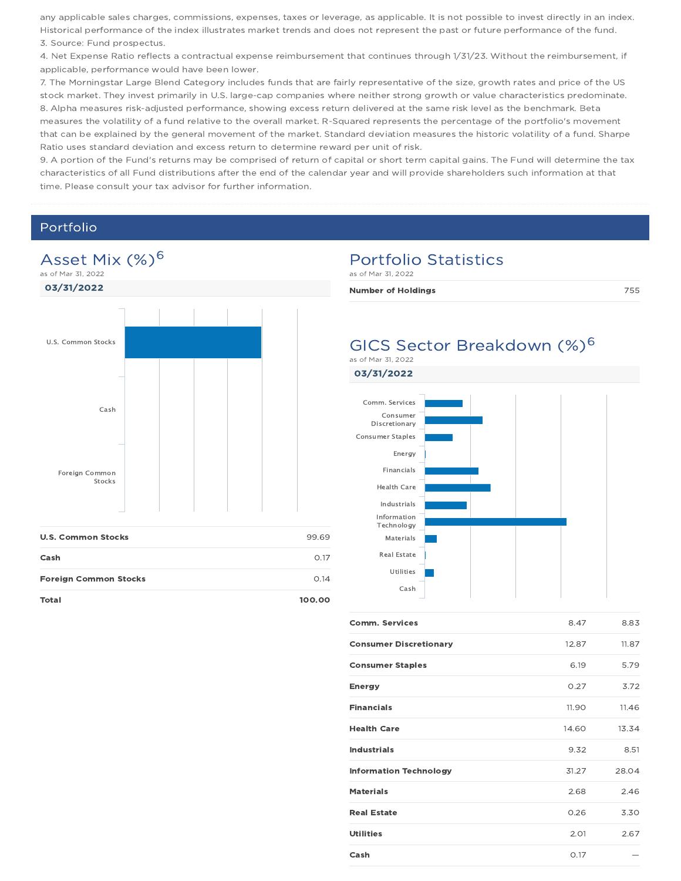any applicable sales charges, commissions, expenses, taxes or leverage, as applicable. It is not possible to invest directly in an index. Historical performance of the index illustrates market trends and does not represent the past or future performance of the fund. 3. Source: Fund prospectus.

4. Net Expense Ratio reflects a contractual expense reimbursement that continues through 1/31/23. Without the reimbursement, if applicable, performance would have been lower.

7. The Morningstar Large Blend Category includes funds that are fairly representative of the size, growth rates and price of the US stock market. They invest primarily in U.S. large-cap companies where neither strong growth or value characteristics predominate. 8. Alpha measures risk-adjusted performance, showing excess return delivered at the same risk level as the benchmark. Beta measures the volatility of a fund relative to the overall market. R-Squared represents the percentage of the portfolio's movement that can be explained by the general movement of the market. Standard deviation measures the historic volatility of a fund. Sharpe Ratio uses standard deviation and excess return to determine reward per unit of risk.

9. A portion of the Fund's returns may be comprised of return of capital or short term capital gains. The Fund will determine the tax characteristics of all Fund distributions after the end of the calendar year and will provide shareholders such information at that time. Please consult your tax advisor for further information.

#### Portfolio



| <b>U.S. Common Stocks</b>    | 99.69       |
|------------------------------|-------------|
| Cash                         | 0.17        |
| <b>Foreign Common Stocks</b> | $\Omega$ 14 |
| <b>Total</b>                 | 100.00      |

#### Portfolio Statistics

as of Mar 31, 2022

Number of Holdings **755** 

### GICS Sector Breakdown (%)<sup>6</sup>



| 8.47  | 8.83  |
|-------|-------|
| 12.87 | 11.87 |
| 6.19  | 5.79  |
| 0.27  | 3.72  |
| 11.90 | 11.46 |
| 14.60 | 13.34 |
| 9.32  | 8.51  |
| 31.27 | 28.04 |
| 2.68  | 2.46  |
| 0.26  | 3.30  |
| 2.01  | 2.67  |
| 0.17  |       |
|       |       |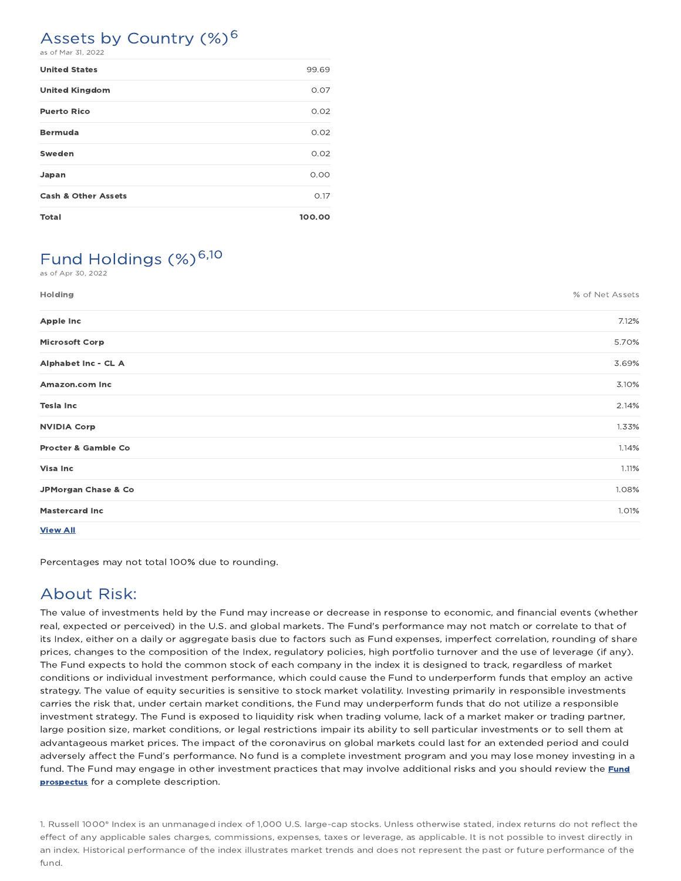#### Assets by Country (%)<sup>6</sup> as of Mar 31, 2022

| <b>United States</b>           | 99.69  |
|--------------------------------|--------|
| <b>United Kingdom</b>          | 0.07   |
| <b>Puerto Rico</b>             | 0.02   |
| <b>Bermuda</b>                 | 0.02   |
| Sweden                         | 0.02   |
| Japan                          | 0.00   |
| <b>Cash &amp; Other Assets</b> | 0.17   |
| <b>Total</b>                   | 100.00 |

### Fund Holdings (%)<sup>6,10</sup>

as of Apr 30, 2022

| Holding                        | % of Net Assets |
|--------------------------------|-----------------|
| <b>Apple Inc</b>               | 7.12%           |
| <b>Microsoft Corp</b>          | 5.70%           |
| Alphabet Inc - CL A            | 3.69%           |
| Amazon.com Inc                 | 3.10%           |
| <b>Tesla Inc</b>               | 2.14%           |
| <b>NVIDIA Corp</b>             | 1.33%           |
| <b>Procter &amp; Gamble Co</b> | 1.14%           |
| <b>Visa Inc</b>                | 1.11%           |
| JPMorgan Chase & Co            | 1.08%           |
| <b>Mastercard Inc</b>          | 1.01%           |
| <b>View All</b>                |                 |

Percentages may not total 100% due to rounding.

### About Risk:

The value of investments held by the Fund may increase or decrease in response to economic, and financial events (whether real, expected or perceived) in the U.S. and global markets. The Fund's performance may not match or correlate to that of its Index, either on a daily or aggregate basis due to factors such as Fund expenses, imperfect correlation, rounding of share prices, changes to the composition of the Index, regulatory policies, high portfolio turnover and the use of leverage (if any). The Fund expects to hold the common stock of each company in the index it is designed to track, regardless of market conditions or individual investment performance, which could cause the Fund to underperform funds that employ an active strategy. The value of equity securities is sensitive to stock market volatility. Investing primarily in responsible investments carries the risk that, under certain market conditions, the Fund may underperform funds that do not utilize a responsible investment strategy. The Fund is exposed to liquidity risk when trading volume, lack of a market maker or trading partner, large position size, market conditions, or legal restrictions impair its ability to sell particular investments or to sell them at advantageous market prices. The impact of the coronavirus on global markets could last for an extended period and could adversely affect the Fund's performance. No fund is a complete investment program and you may lose money investing in a fund. The Fund may engage in other investment practices that may involve additional risks and you should review the Fund prospectus for a complete description.

1. Russell 1000® Index is an unmanaged index of 1,000 U.S. large-cap stocks. Unless otherwise stated, index returns do not reflect the effect of any applicable sales charges, commissions, expenses, taxes or leverage, as applicable. It is not possible to invest directly in an index. Historical performance of the index illustrates market trends and does not represent the past or future performance of the fund.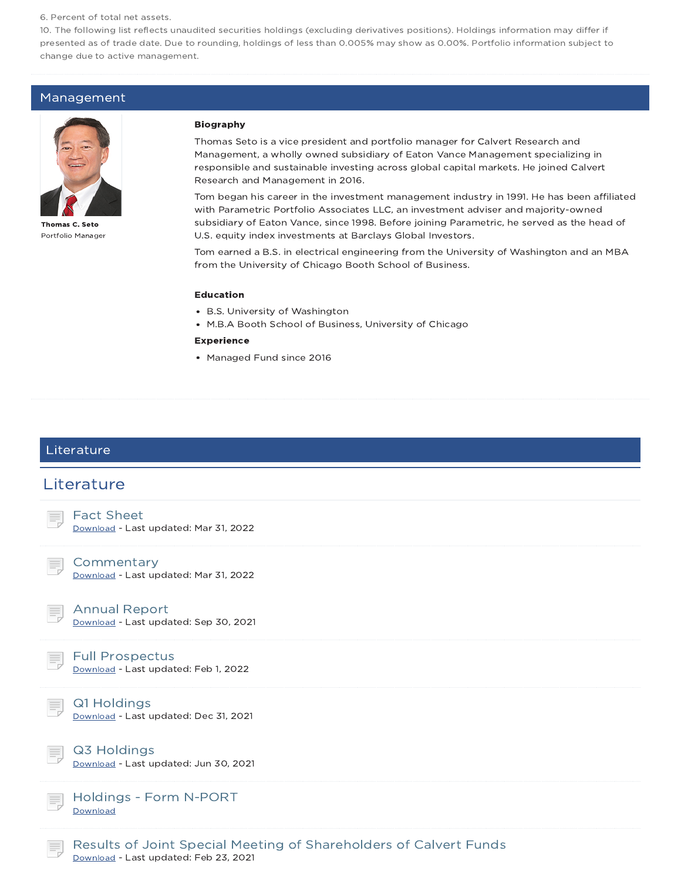#### 6. Percent of total net assets.

10. The following list reflects unaudited securities holdings (excluding derivatives positions). Holdings information may differ if presented as of trade date. Due to rounding, holdings of less than 0.005% may show as 0.00%. Portfolio information subject to change due to active management.

#### Management



Thomas C. Seto Portfolio Manager

#### Biography

Thomas Seto is a vice president and portfolio manager for Calvert Research and Management, a wholly owned subsidiary of Eaton Vance Management specializing in responsible and sustainable investing across global capital markets. He joined Calvert Research and Management in 2016.

Tom began his career in the investment management industry in 1991. He has been affiliated with Parametric Portfolio Associates LLC, an investment adviser and majority-owned subsidiary of Eaton Vance, since 1998. Before joining Parametric, he served as the head of U.S. equity index investments at Barclays Global Investors.

Tom earned a B.S. in electrical engineering from the University of Washington and an MBA from the University of Chicago Booth School of Business.

#### Education

- B.S. University of Washington
- M.B.A Booth School of Business, University of Chicago

#### Experience

• Managed Fund since 2016

#### Literature

### **Literature** Fact Sheet Download - Last updated: Mar 31, 2022 **Commentary** Download - Last updated: Mar 31, 2022 Annual Report Download - Last updated: Sep 30, 2021 Full Prospectus Download - Last updated: Feb 1, 2022 Q1 Holdings Download - Last updated: Dec 31, 2021 Q3 Holdings Download - Last updated: Jun 30, 2021 Holdings - Form N-PORT Download Results of Joint Special Meeting of Shareholders of Calvert Funds

Download - Last updated: Feb 23, 2021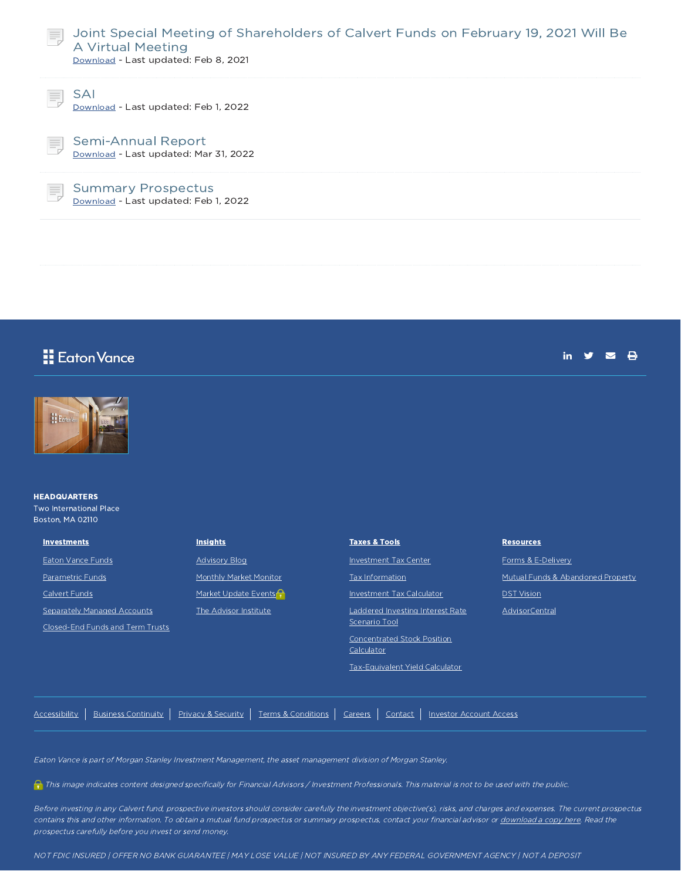

#### Joint Special Meeting of Shareholders of Calvert Funds on February 19, 2021 Will Be A Virtual Meeting

Download - Last updated: Feb 8, 2021



SAI

Download - Last updated: Feb 1, 2022

Semi-Annual Report Download - Last updated: Mar 31, 2022

Summary Prospectus Download - Last updated: Feb 1, 2022

# **E** Eaton Vance



#### **HEADQUARTERS** Two International Place Boston, MA 02110

Investments Eaton Vance Funds Parametric Funds Calvert Funds

Separately Managed Accounts Closed-End Funds and Term Trusts Advisory Blog Monthly Market Monitor Market Update Events The Advisor Institute

**Insights** 

#### Taxes & Tools Investment Tax Center Tax Information Investment Tax Calculator Laddered Investing Interest Rate Scenario Tool

Concentrated Stock Position **Calculator** 

Tax-Equivalent Yield Calculator

Resources

Forms & E-Delivery Mutual Funds & Abandoned Property **DST** Vision

in  $y = A$ 

AdvisorCentral

Accessibility | Business Continuity | Privacy & Security | Terms & Conditions | Careers | Contact | Investor Account Access

Eaton Vance is part of Morgan Stanley Investment Management, the asset management division of Morgan Stanley.

This image indicates content designed specifically for Financial Advisors / Investment Professionals. This material is not to be used with the public.

Before investing in any Calvert fund, prospective investors should consider carefully the investment objective(s), risks, and charges and expenses. The current prospectus contains this and other information. To obtain a mutual fund prospectus or summary prospectus, contact your financial advisor or download a copy here. Read the prospectus carefully before you invest or send money.

NOT FDIC INSURED | OFFER NO BANK GUARANTEE | MAY LOSE VALUE | NOT INSURED BY ANY FEDERAL GOVERNMENT AGENCY | NOT A DEPOSIT